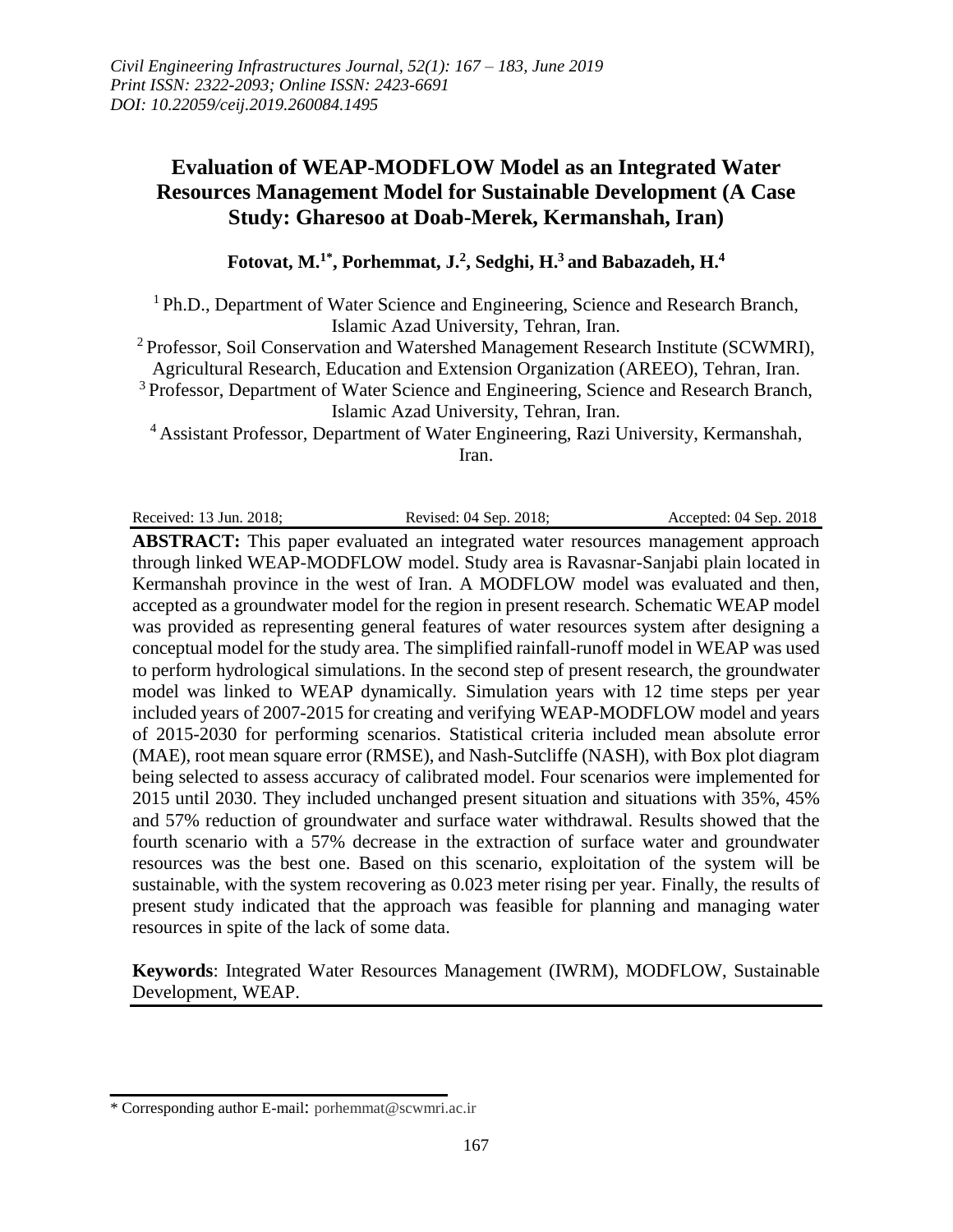# **Evaluation of WEAP-MODFLOW Model as an Integrated Water Resources Management Model for Sustainable Development (A Case Study: Gharesoo at Doab-Merek, Kermanshah, Iran)**

#### **Fotovat, M. 1\* , Porhemmat, J. 2 , Sedghi, H. <sup>3</sup> and Babazadeh, H. 4**

<sup>1</sup> Ph.D., Department of Water Science and Engineering, Science and Research Branch, Islamic Azad University, Tehran, Iran.

<sup>2</sup> Professor, Soil Conservation and Watershed Management Research Institute (SCWMRI),

Agricultural Research, Education and Extension Organization (AREEO), Tehran, Iran.

<sup>3</sup> Professor, Department of Water Science and Engineering, Science and Research Branch, Islamic Azad University, Tehran, Iran.

<sup>4</sup> Assistant Professor, Department of Water Engineering, Razi University, Kermanshah, Iran.

Received: 13 Jun. 2018; Revised: 04 Sep. 2018; Accepted: 04 Sep. 2018

**ABSTRACT:** This paper evaluated an integrated water resources management approach through linked WEAP-MODFLOW model. Study area is Ravasnar-Sanjabi plain located in Kermanshah province in the west of Iran. A MODFLOW model was evaluated and then, accepted as a groundwater model for the region in present research. Schematic WEAP model was provided as representing general features of water resources system after designing a conceptual model for the study area. The simplified rainfall-runoff model in WEAP was used to perform hydrological simulations. In the second step of present research, the groundwater model was linked to WEAP dynamically. Simulation years with 12 time steps per year included years of 2007-2015 for creating and verifying WEAP-MODFLOW model and years of 2015-2030 for performing scenarios. Statistical criteria included mean absolute error (MAE), root mean square error (RMSE), and Nash-Sutcliffe (NASH), with Box plot diagram being selected to assess accuracy of calibrated model. Four scenarios were implemented for 2015 until 2030. They included unchanged present situation and situations with 35%, 45% and 57% reduction of groundwater and surface water withdrawal. Results showed that the fourth scenario with a 57% decrease in the extraction of surface water and groundwater resources was the best one. Based on this scenario, exploitation of the system will be sustainable, with the system recovering as 0.023 meter rising per year. Finally, the results of present study indicated that the approach was feasible for planning and managing water resources in spite of the lack of some data.

**Keywords**: Integrated Water Resources Management (IWRM), MODFLOW, Sustainable Development, WEAP.

<sup>\*</sup> Corresponding author E-mail: porhemmat@scwmri.ac.ir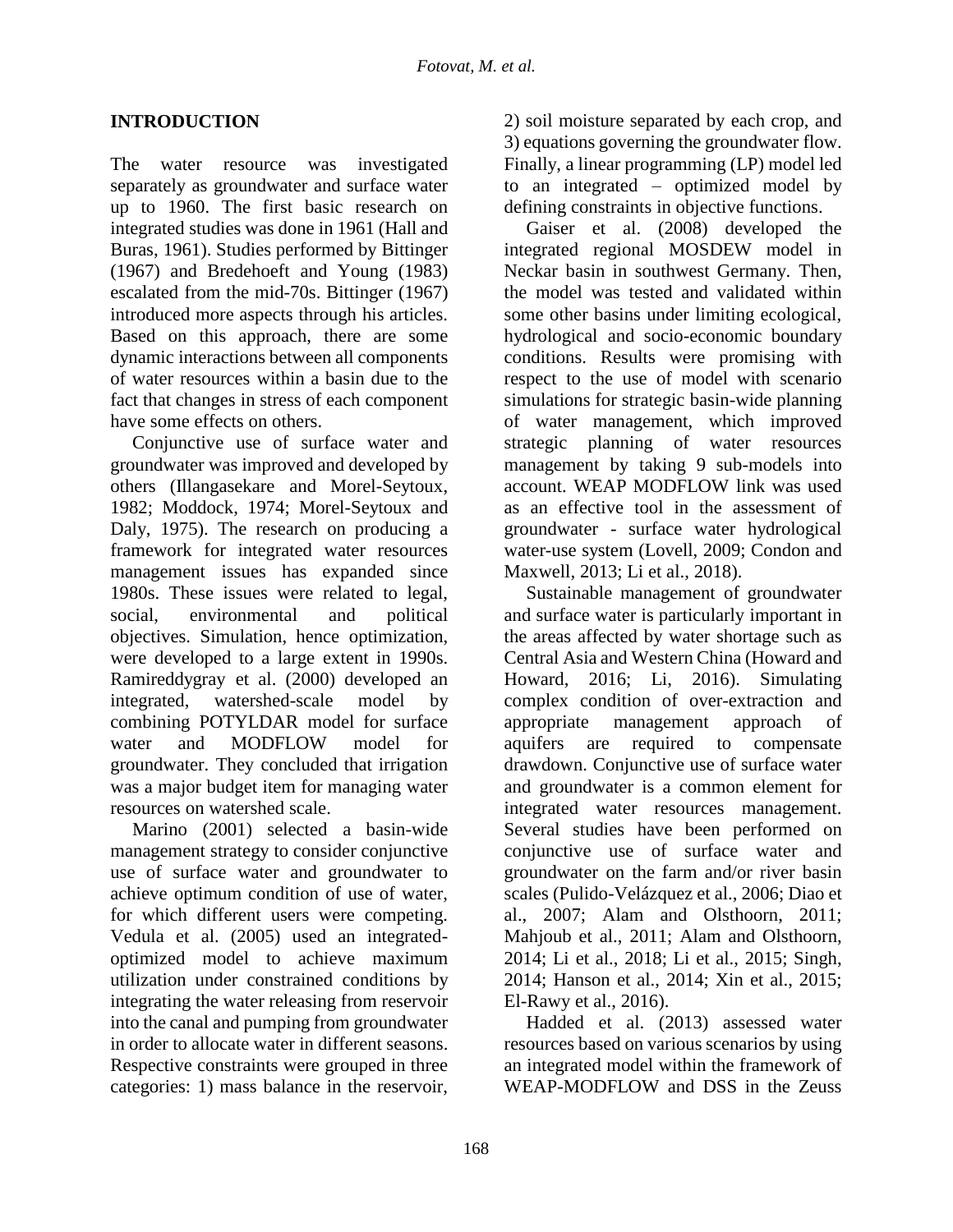#### **INTRODUCTION**

The water resource was investigated separately as groundwater and surface water up to 1960. The first basic research on integrated studies was done in 1961 (Hall and Buras, 1961). Studies performed by Bittinger (1967) and Bredehoeft and Young (1983) escalated from the mid-70s. Bittinger (1967) introduced more aspects through his articles. Based on this approach, there are some dynamic interactions between all components of water resources within a basin due to the fact that changes in stress of each component have some effects on others.

Conjunctive use of surface water and groundwater was improved and developed by others (Illangasekare and Morel-Seytoux, 1982; Moddock, 1974; Morel-Seytoux and Daly, 1975). The research on producing a framework for integrated water resources management issues has expanded since 1980s. These issues were related to legal, social, environmental and political objectives. Simulation, hence optimization, were developed to a large extent in 1990s. Ramireddygray et al. (2000) developed an integrated, watershed-scale model by combining POTYLDAR model for surface water and MODFLOW model for groundwater. They concluded that irrigation was a major budget item for managing water resources on watershed scale.

Marino (2001) selected a basin-wide management strategy to consider conjunctive use of surface water and groundwater to achieve optimum condition of use of water, for which different users were competing. Vedula et al. (2005) used an integratedoptimized model to achieve maximum utilization under constrained conditions by integrating the water releasing from reservoir into the canal and pumping from groundwater in order to allocate water in different seasons. Respective constraints were grouped in three categories: 1) mass balance in the reservoir,

2) soil moisture separated by each crop, and 3) equations governing the groundwater flow. Finally, a linear programming (LP) model led to an integrated – optimized model by defining constraints in objective functions.

Gaiser et al. (2008) developed the integrated regional MOSDEW model in Neckar basin in southwest Germany. Then, the model was tested and validated within some other basins under limiting ecological, hydrological and socio-economic boundary conditions. Results were promising with respect to the use of model with scenario simulations for strategic basin-wide planning of water management, which improved strategic planning of water resources management by taking 9 sub-models into account. WEAP MODFLOW link was used as an effective tool in the assessment of groundwater - surface water hydrological water-use system (Lovell, 2009; Condon and Maxwell, 2013; Li et al., 2018).

Sustainable management of groundwater and surface water is particularly important in the areas affected by water shortage such as Central Asia and Western China (Howard and Howard, 2016; Li, 2016). Simulating complex condition of over-extraction and appropriate management approach of aquifers are required to compensate drawdown. Conjunctive use of surface water and groundwater is a common element for integrated water resources management. Several studies have been performed on conjunctive use of surface water and groundwater on the farm and/or river basin scales (Pulido-Velázquez et al., 2006; Diao et al., 2007; Alam and Olsthoorn, 2011; Mahjoub et al., 2011; Alam and Olsthoorn, 2014; Li et al., 2018; Li et al., 2015; Singh, 2014; Hanson et al., 2014; Xin et al., 2015; El-Rawy et al., 2016).

Hadded et al. (2013) assessed water resources based on various scenarios by using an integrated model within the framework of WEAP-MODFLOW and DSS in the Zeuss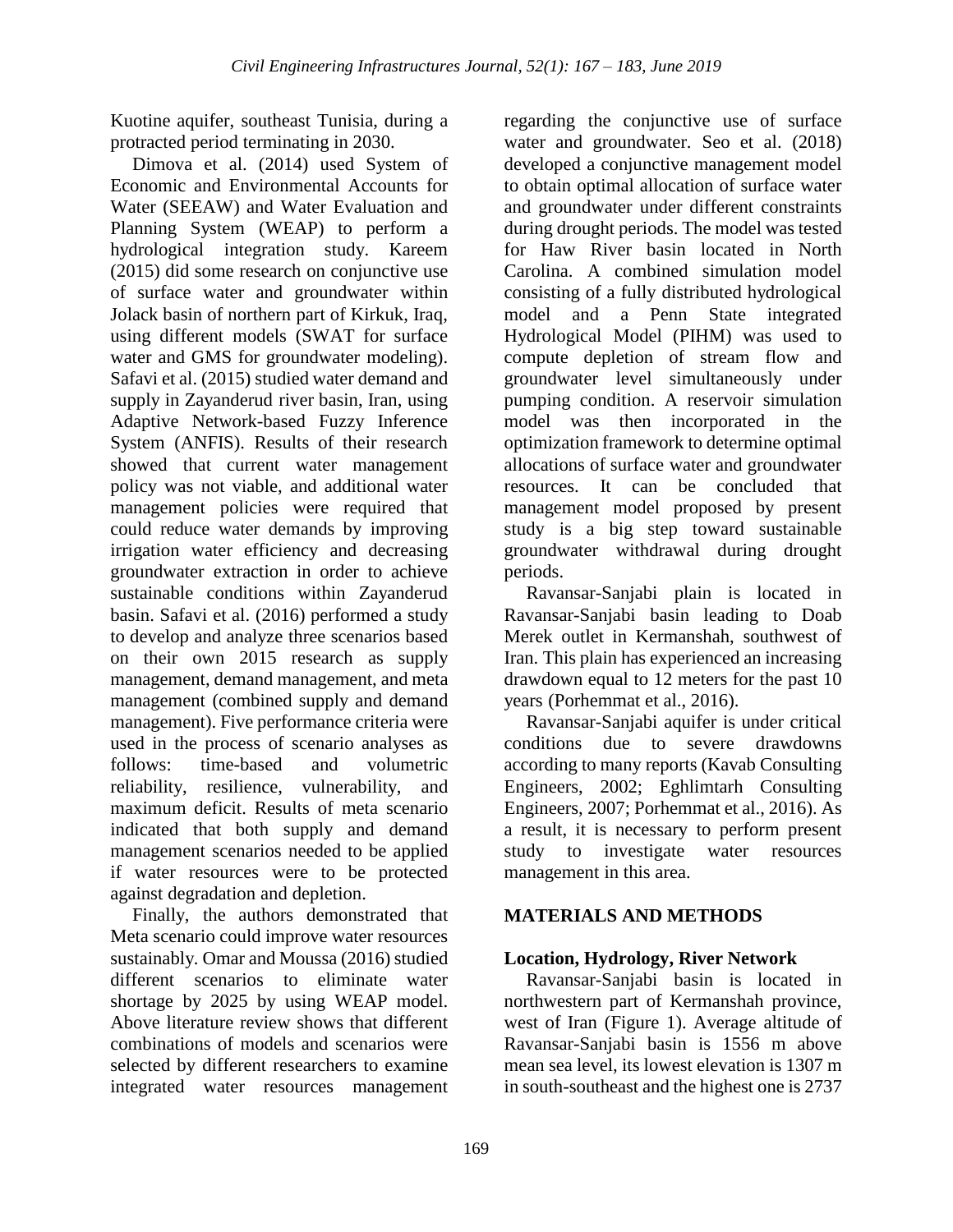Kuotine aquifer, southeast Tunisia, during a protracted period terminating in 2030.

Dimova et al. (2014) used System of Economic and Environmental Accounts for Water (SEEAW) and Water Evaluation and Planning System (WEAP) to perform a hydrological integration study. Kareem (2015) did some research on conjunctive use of surface water and groundwater within Jolack basin of northern part of Kirkuk, Iraq, using different models (SWAT for surface water and GMS for groundwater modeling). Safavi et al. (2015) studied water demand and supply in Zayanderud river basin, Iran, using Adaptive Network-based Fuzzy Inference System (ANFIS). Results of their research showed that current water management policy was not viable, and additional water management policies were required that could reduce water demands by improving irrigation water efficiency and decreasing groundwater extraction in order to achieve sustainable conditions within Zayanderud basin. Safavi et al. (2016) performed a study to develop and analyze three scenarios based on their own 2015 research as supply management, demand management, and meta management (combined supply and demand management). Five performance criteria were used in the process of scenario analyses as follows: time-based and volumetric reliability, resilience, vulnerability, and maximum deficit. Results of meta scenario indicated that both supply and demand management scenarios needed to be applied if water resources were to be protected against degradation and depletion.

Finally, the authors demonstrated that Meta scenario could improve water resources sustainably. Omar and Moussa (2016) studied different scenarios to eliminate water shortage by 2025 by using WEAP model. Above literature review shows that different combinations of models and scenarios were selected by different researchers to examine integrated water resources management

regarding the conjunctive use of surface water and groundwater. Seo et al. (2018) developed a conjunctive management model to obtain optimal allocation of surface water and groundwater under different constraints during drought periods. The model was tested for Haw River basin located in North Carolina. A combined simulation model consisting of a fully distributed hydrological model and a Penn State integrated Hydrological Model (PIHM) was used to compute depletion of stream flow and groundwater level simultaneously under pumping condition. A reservoir simulation model was then incorporated in the optimization framework to determine optimal allocations of surface water and groundwater resources. It can be concluded that management model proposed by present study is a big step toward sustainable groundwater withdrawal during drought periods.

Ravansar-Sanjabi plain is located in Ravansar-Sanjabi basin leading to Doab Merek outlet in Kermanshah, southwest of Iran. This plain has experienced an increasing drawdown equal to 12 meters for the past 10 years (Porhemmat et al., 2016).

Ravansar-Sanjabi aquifer is under critical conditions due to severe drawdowns according to many reports (Kavab Consulting Engineers, 2002; Eghlimtarh Consulting Engineers, 2007; Porhemmat et al., 2016). As a result, it is necessary to perform present study to investigate water resources management in this area.

## **MATERIALS AND METHODS**

## **Location, Hydrology, River Network**

Ravansar-Sanjabi basin is located in northwestern part of Kermanshah province, west of Iran (Figure 1). Average altitude of Ravansar-Sanjabi basin is 1556 m above mean sea level, its lowest elevation is 1307 m in south-southeast and the highest one is 2737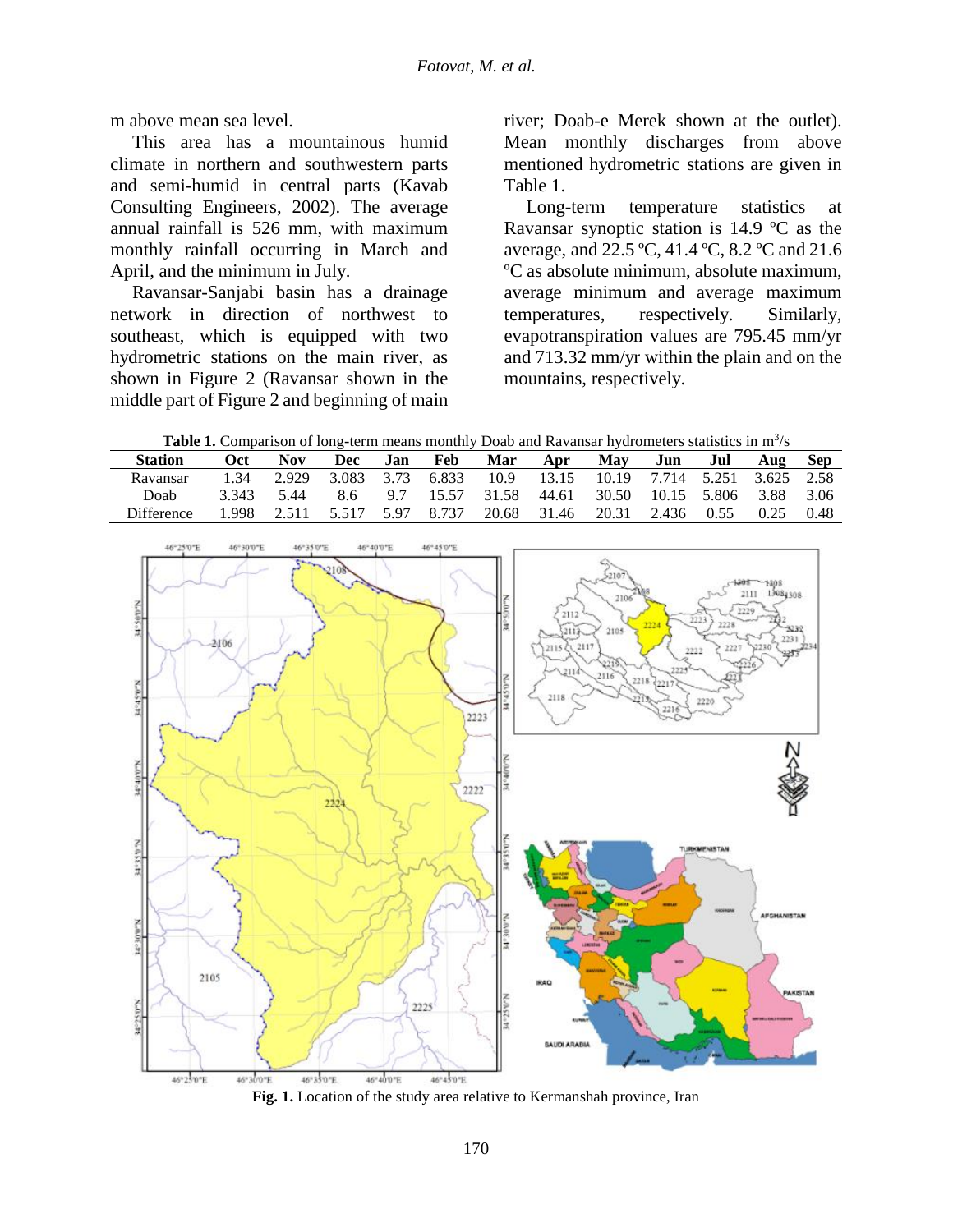m above mean sea level.

This area has a mountainous humid climate in northern and southwestern parts and semi-humid in central parts (Kavab Consulting Engineers, 2002). The average annual rainfall is 526 mm, with maximum monthly rainfall occurring in March and April, and the minimum in July.

Ravansar-Sanjabi basin has a drainage network in direction of northwest to southeast, which is equipped with two hydrometric stations on the main river, as shown in Figure 2 (Ravansar shown in the middle part of Figure 2 and beginning of main river; Doab-e Merek shown at the outlet). Mean monthly discharges from above mentioned hydrometric stations are given in Table 1.

Long-term temperature statistics at Ravansar synoptic station is 14.9 ºC as the average, and 22.5 ºC, 41.4 ºC, 8.2 ºC and 21.6 ºC as absolute minimum, absolute maximum, average minimum and average maximum temperatures, respectively. Similarly, evapotranspiration values are 795.45 mm/yr and 713.32 mm/yr within the plain and on the mountains, respectively.

Table 1. Comparison of long-term means monthly Doab and Ravansar hydrometers statistics in m<sup>3</sup>/s

| <b>Station</b> | <b>Oct</b> | Nov  | Dec | Jan | Feb | Mar | Apr                                                            | May | Jun | Jul | Aug | – Sep |
|----------------|------------|------|-----|-----|-----|-----|----------------------------------------------------------------|-----|-----|-----|-----|-------|
| Ravansar       | 1.34       |      |     |     |     |     | 2.929 3.083 3.73 6.833 10.9 13.15 10.19 7.714 5.251 3.625 2.58 |     |     |     |     |       |
| Doab           | 3 3 4 3    | 5.44 |     |     |     |     | 8.6 9.7 15.57 31.58 44.61 30.50 10.15 5.806 3.88 3.06          |     |     |     |     |       |
| Difference     | .998.      |      |     |     |     |     | 2.511 5.517 5.97 8.737 20.68 31.46 20.31 2.436 0.55 0.25 0.48  |     |     |     |     |       |



**Fig. 1.** Location of the study area relative to Kermanshah province, Iran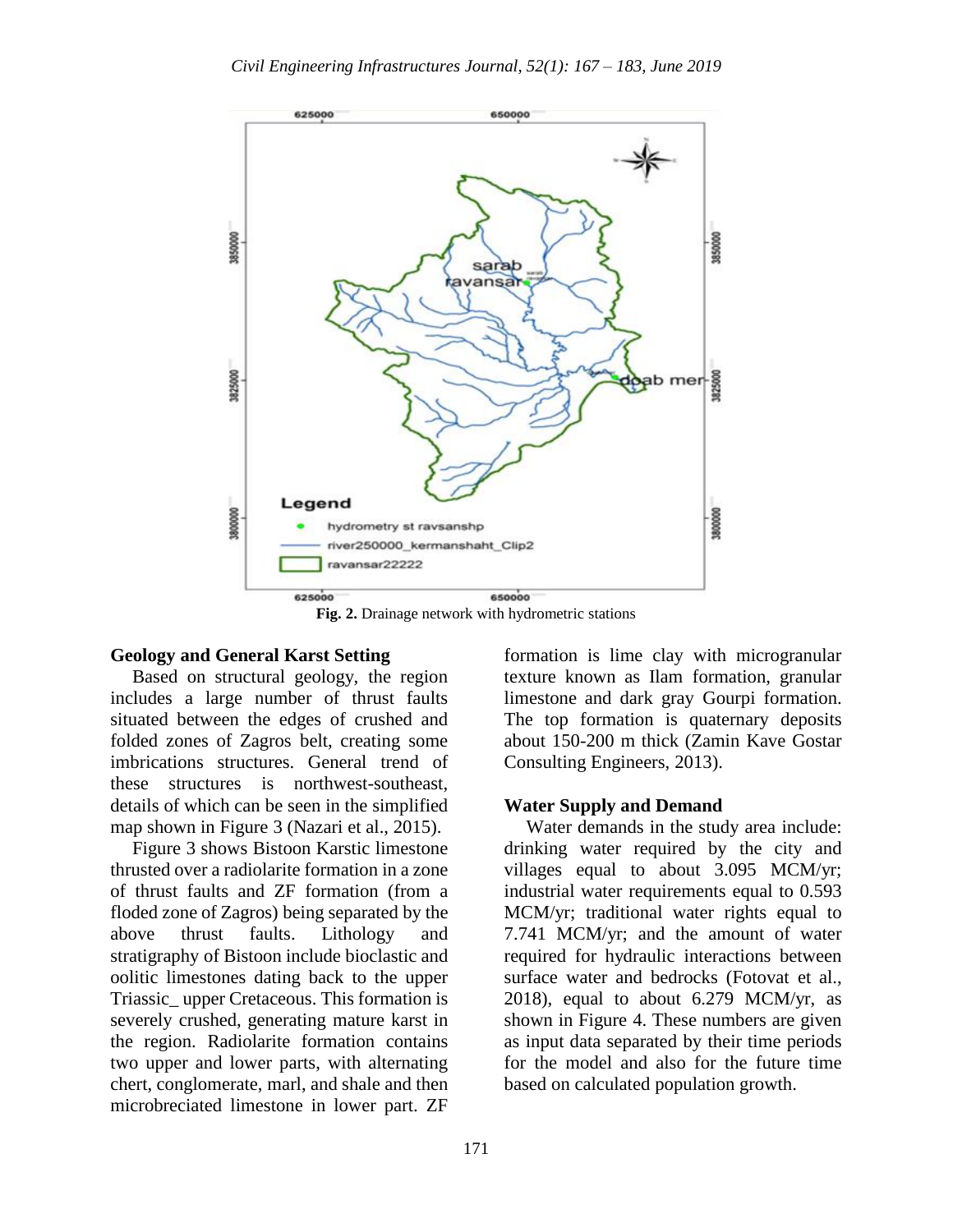

**Fig. 2.** Drainage network with hydrometric stations

#### **Geology and General Karst Setting**

Based on structural geology, the region includes a large number of thrust faults situated between the edges of crushed and folded zones of Zagros belt, creating some imbrications structures. General trend of these structures is northwest-southeast, details of which can be seen in the simplified map shown in Figure 3 (Nazari et al., 2015).

Figure 3 shows Bistoon Karstic limestone thrusted over a radiolarite formation in a zone of thrust faults and ZF formation (from a floded zone of Zagros) being separated by the above thrust faults. Lithology and stratigraphy of Bistoon include bioclastic and oolitic limestones dating back to the upper Triassic\_ upper Cretaceous. This formation is severely crushed, generating mature karst in the region. Radiolarite formation contains two upper and lower parts, with alternating chert, conglomerate, marl, and shale and then microbreciated limestone in lower part. ZF

formation is lime clay with microgranular texture known as Ilam formation, granular limestone and dark gray Gourpi formation. The top formation is quaternary deposits about 150-200 m thick (Zamin Kave Gostar Consulting Engineers, 2013).

#### **Water Supply and Demand**

Water demands in the study area include: drinking water required by the city and villages equal to about 3.095 MCM/yr; industrial water requirements equal to 0.593 MCM/yr; traditional water rights equal to 7.741 MCM/yr; and the amount of water required for hydraulic interactions between surface water and bedrocks (Fotovat et al., 2018), equal to about 6.279 MCM/yr, as shown in Figure 4. These numbers are given as input data separated by their time periods for the model and also for the future time based on calculated population growth.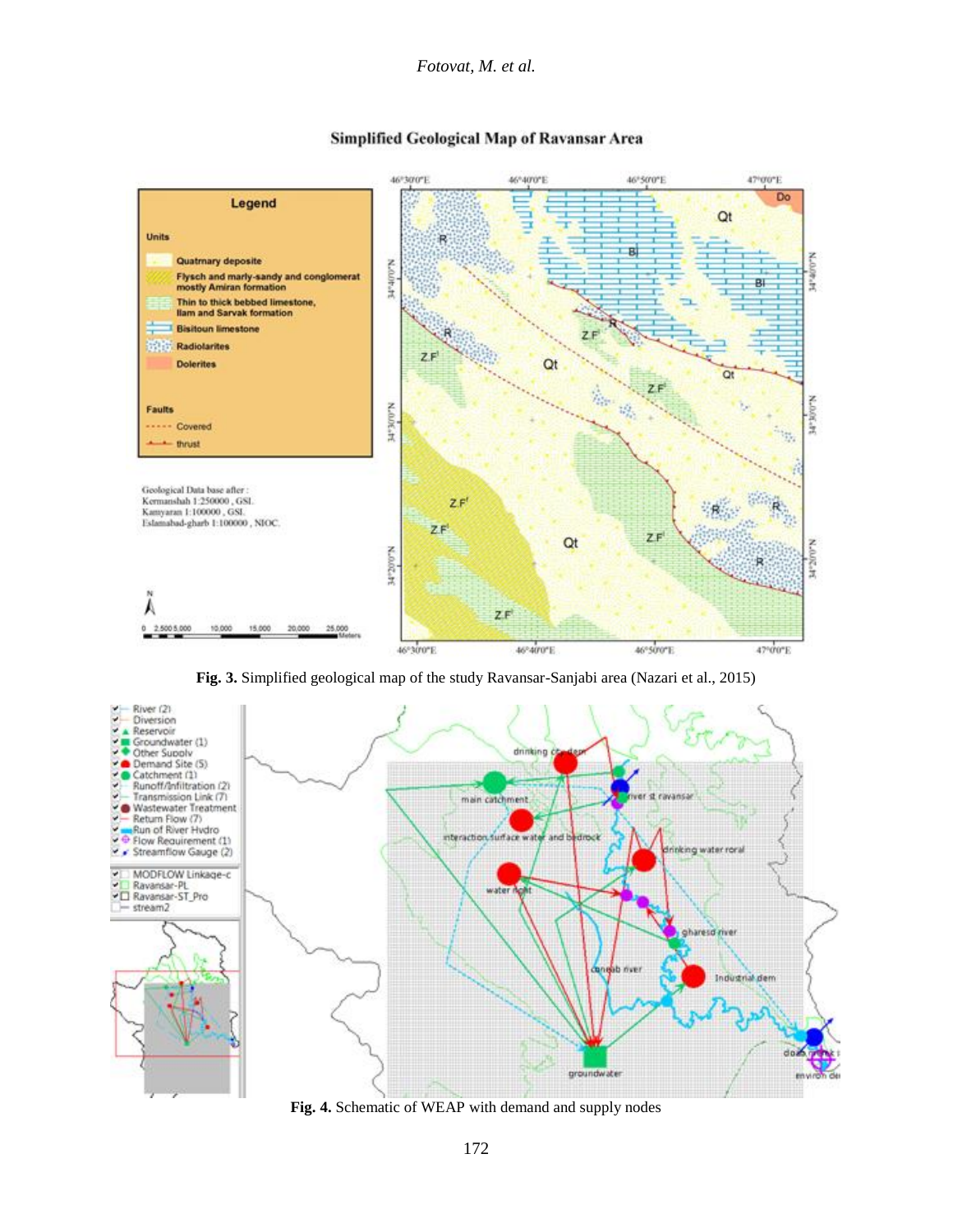

#### **Simplified Geological Map of Ravansar Area**

**Fig. 3.** Simplified geological map of the study Ravansar-Sanjabi area (Nazari et al., 2015)



**Fig. 4.** Schematic of WEAP with demand and supply nodes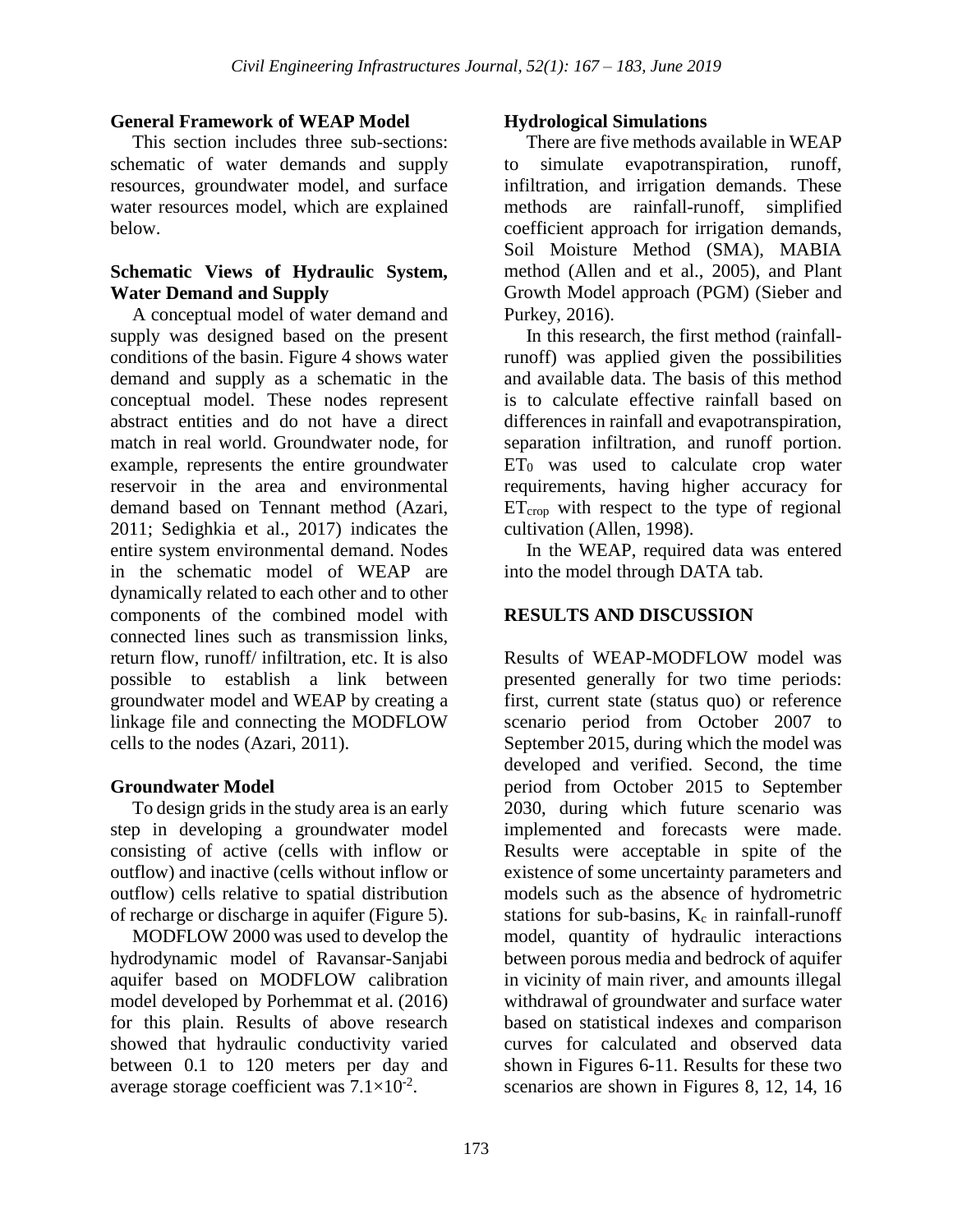#### **General Framework of WEAP Model**

This section includes three sub-sections: schematic of water demands and supply resources, groundwater model, and surface water resources model, which are explained below.

#### **Schematic Views of Hydraulic System, Water Demand and Supply**

A conceptual model of water demand and supply was designed based on the present conditions of the basin. Figure 4 shows water demand and supply as a schematic in the conceptual model. These nodes represent abstract entities and do not have a direct match in real world. Groundwater node, for example, represents the entire groundwater reservoir in the area and environmental demand based on Tennant method (Azari, 2011; Sedighkia et al., 2017) indicates the entire system environmental demand. Nodes in the schematic model of WEAP are dynamically related to each other and to other components of the combined model with connected lines such as transmission links, return flow, runoff/ infiltration, etc. It is also possible to establish a link between groundwater model and WEAP by creating a linkage file and connecting the MODFLOW cells to the nodes (Azari, 2011).

## **Groundwater Model**

To design grids in the study area is an early step in developing a groundwater model consisting of active (cells with inflow or outflow) and inactive (cells without inflow or outflow) cells relative to spatial distribution of recharge or discharge in aquifer (Figure 5).

MODFLOW 2000 was used to develop the hydrodynamic model of Ravansar-Sanjabi aquifer based on MODFLOW calibration model developed by Porhemmat et al. (2016) for this plain. Results of above research showed that hydraulic conductivity varied between 0.1 to 120 meters per day and average storage coefficient was  $7.1 \times 10^{-2}$ .

#### **Hydrological Simulations**

There are five methods available in WEAP simulate evapotranspiration, runoff, infiltration, and irrigation demands. These methods are rainfall-runoff, simplified coefficient approach for irrigation demands, Soil Moisture Method (SMA), MABIA method (Allen and et al., 2005), and Plant Growth Model approach (PGM) (Sieber and Purkey, 2016).

In this research, the first method (rainfallrunoff) was applied given the possibilities and available data. The basis of this method is to calculate effective rainfall based on differences in rainfall and evapotranspiration, separation infiltration, and runoff portion.  $ET_0$  was used to calculate crop water requirements, having higher accuracy for  $ET_{\text{crop}}$  with respect to the type of regional cultivation (Allen, 1998).

In the WEAP, required data was entered into the model through DATA tab.

# **RESULTS AND DISCUSSION**

Results of WEAP-MODFLOW model was presented generally for two time periods: first, current state (status quo) or reference scenario period from October 2007 to September 2015, during which the model was developed and verified. Second, the time period from October 2015 to September 2030, during which future scenario was implemented and forecasts were made. Results were acceptable in spite of the existence of some uncertainty parameters and models such as the absence of hydrometric stations for sub-basins,  $K_c$  in rainfall-runoff model, quantity of hydraulic interactions between porous media and bedrock of aquifer in vicinity of main river, and amounts illegal withdrawal of groundwater and surface water based on statistical indexes and comparison curves for calculated and observed data shown in Figures 6-11. Results for these two scenarios are shown in Figures 8, 12, 14, 16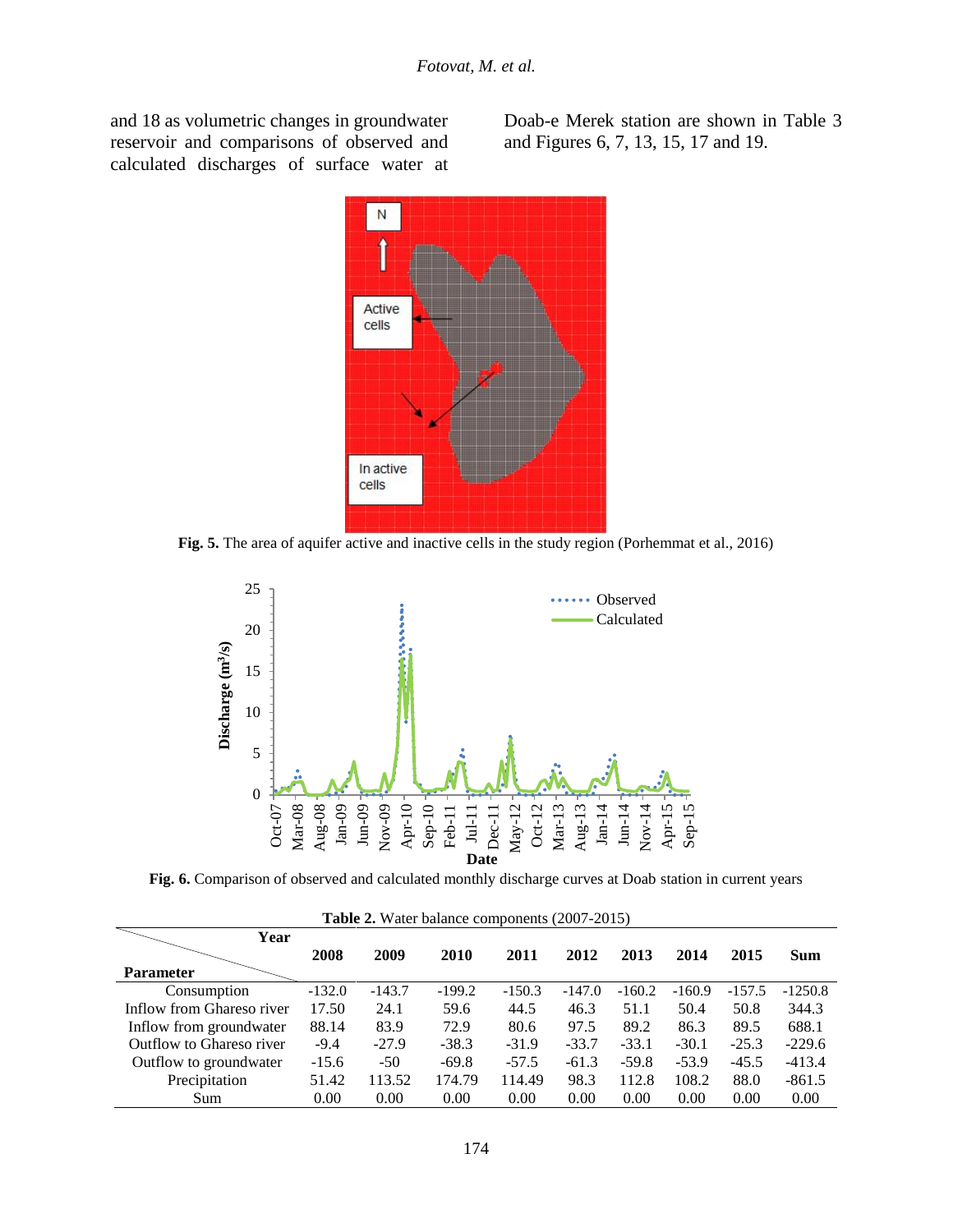and 18 as volumetric changes in groundwater reservoir and comparisons of observed and calculated discharges of surface water at Doab-e Merek station are shown in Table 3 and Figures 6, 7, 13, 15, 17 and 19.



**Fig. 5.** The area of aquifer active and inactive cells in the study region (Porhemmat et al., 2016)



**Fig. 6.** Comparison of observed and calculated monthly discharge curves at Doab station in current years

| <b>Table 2.</b> Water balance components (2007-2015) |          |          |          |          |          |          |          |          |            |
|------------------------------------------------------|----------|----------|----------|----------|----------|----------|----------|----------|------------|
| Year                                                 |          |          |          |          |          |          |          |          |            |
|                                                      | 2008     | 2009     | 2010     | 2011     | 2012     | 2013     | 2014     | 2015     | <b>Sum</b> |
| <b>Parameter</b>                                     |          |          |          |          |          |          |          |          |            |
| Consumption                                          | $-132.0$ | $-143.7$ | $-199.2$ | $-150.3$ | $-147.0$ | $-160.2$ | $-160.9$ | $-157.5$ | $-1250.8$  |
| Inflow from Ghareso river                            | 17.50    | 24.1     | 59.6     | 44.5     | 46.3     | 51.1     | 50.4     | 50.8     | 344.3      |
| Inflow from groundwater                              | 88.14    | 83.9     | 72.9     | 80.6     | 97.5     | 89.2     | 86.3     | 89.5     | 688.1      |
| Outflow to Ghareso river                             | $-9.4$   | $-27.9$  | $-38.3$  | $-31.9$  | $-33.7$  | $-33.1$  | $-30.1$  | $-25.3$  | $-229.6$   |
| Outflow to groundwater                               | $-15.6$  | $-50$    | $-69.8$  | $-57.5$  | $-61.3$  | $-59.8$  | $-53.9$  | $-45.5$  | $-413.4$   |
| Precipitation                                        | 51.42    | 13.52    | 174.79   | 114.49   | 98.3     | 112.8    | 108.2    | 88.0     | $-861.5$   |
| Sum                                                  | 0.00     | 0.00     | 0.00     | 0.00     | 0.00     | 0.00     | 0.00     | 0.00     | 0.00       |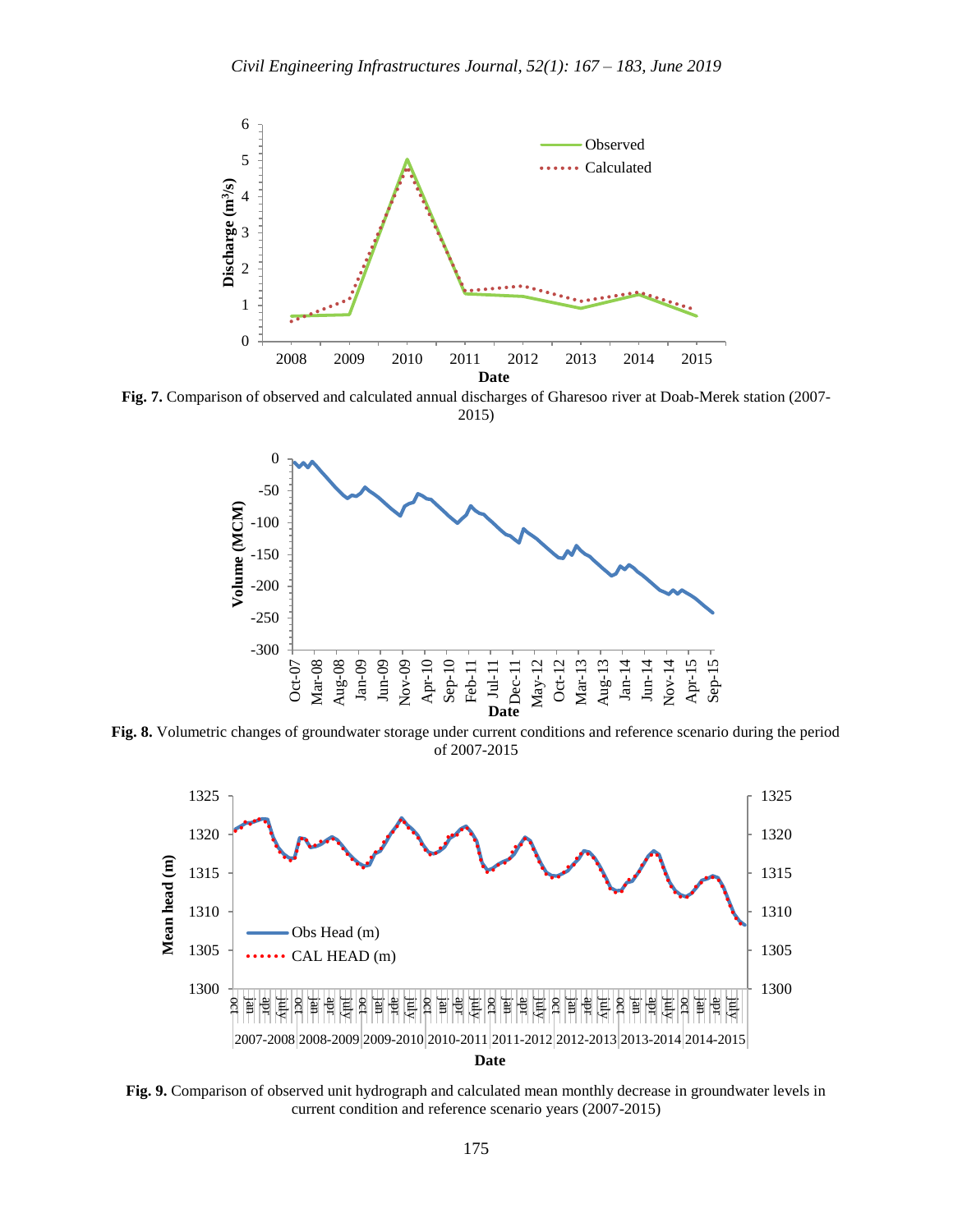

**Fig. 7.** Comparison of observed and calculated annual discharges of Gharesoo river at Doab-Merek station (2007- 2015)



**Fig. 8.** Volumetric changes of groundwater storage under current conditions and reference scenario during the period of 2007-2015



**Fig. 9.** Comparison of observed unit hydrograph and calculated mean monthly decrease in groundwater levels in current condition and reference scenario years (2007-2015)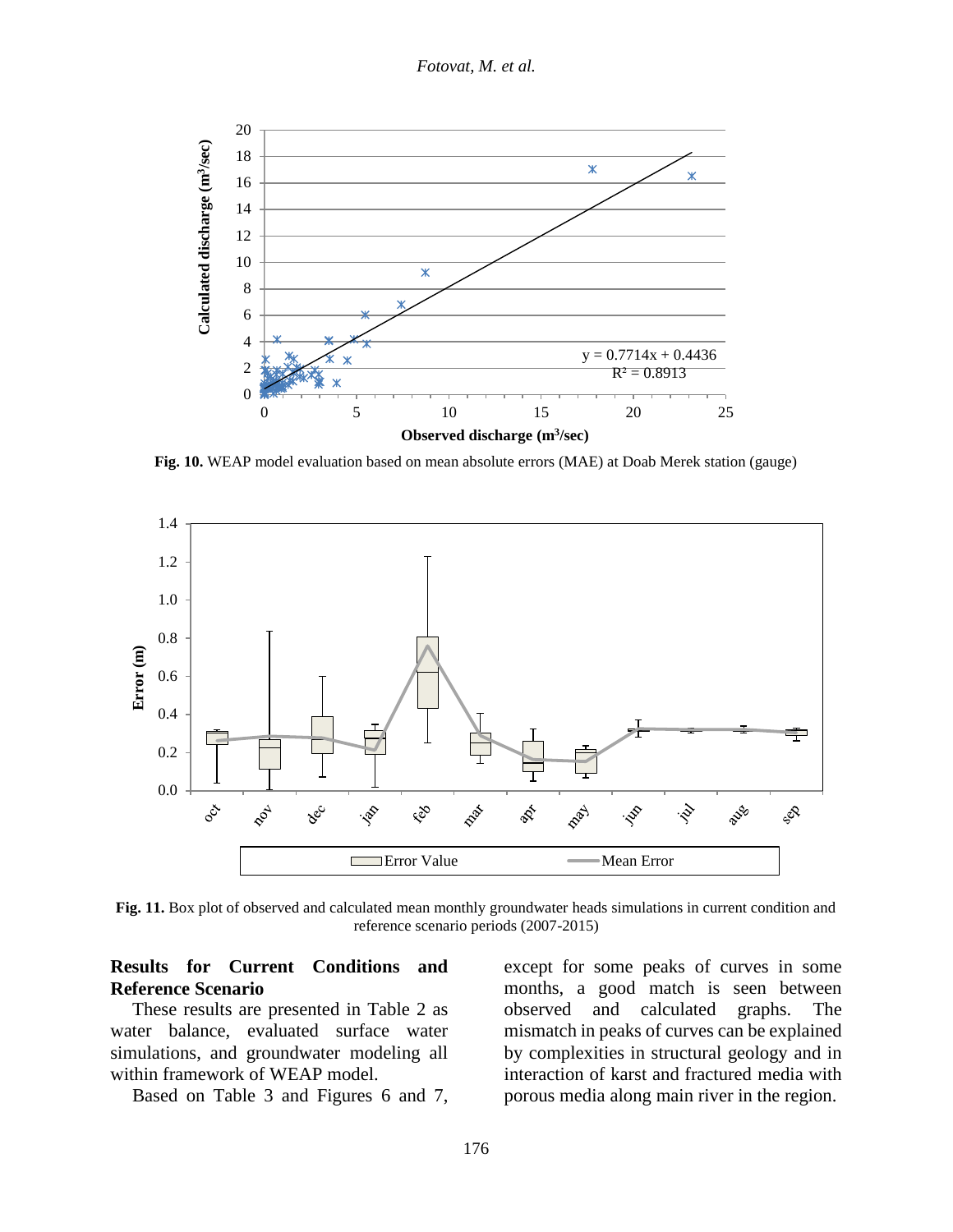*Fotovat, M. et al.*



**Fig. 10.** WEAP model evaluation based on mean absolute errors (MAE) at Doab Merek station (gauge)



**Fig. 11.** Box plot of observed and calculated mean monthly groundwater heads simulations in current condition and reference scenario periods (2007-2015)

#### **Results for Current Conditions and Reference Scenario**

These results are presented in Table 2 as water balance, evaluated surface water simulations, and groundwater modeling all within framework of WEAP model.

Based on Table 3 and Figures 6 and 7,

except for some peaks of curves in some months, a good match is seen between observed and calculated graphs. The mismatch in peaks of curves can be explained by complexities in structural geology and in interaction of karst and fractured media with porous media along main river in the region.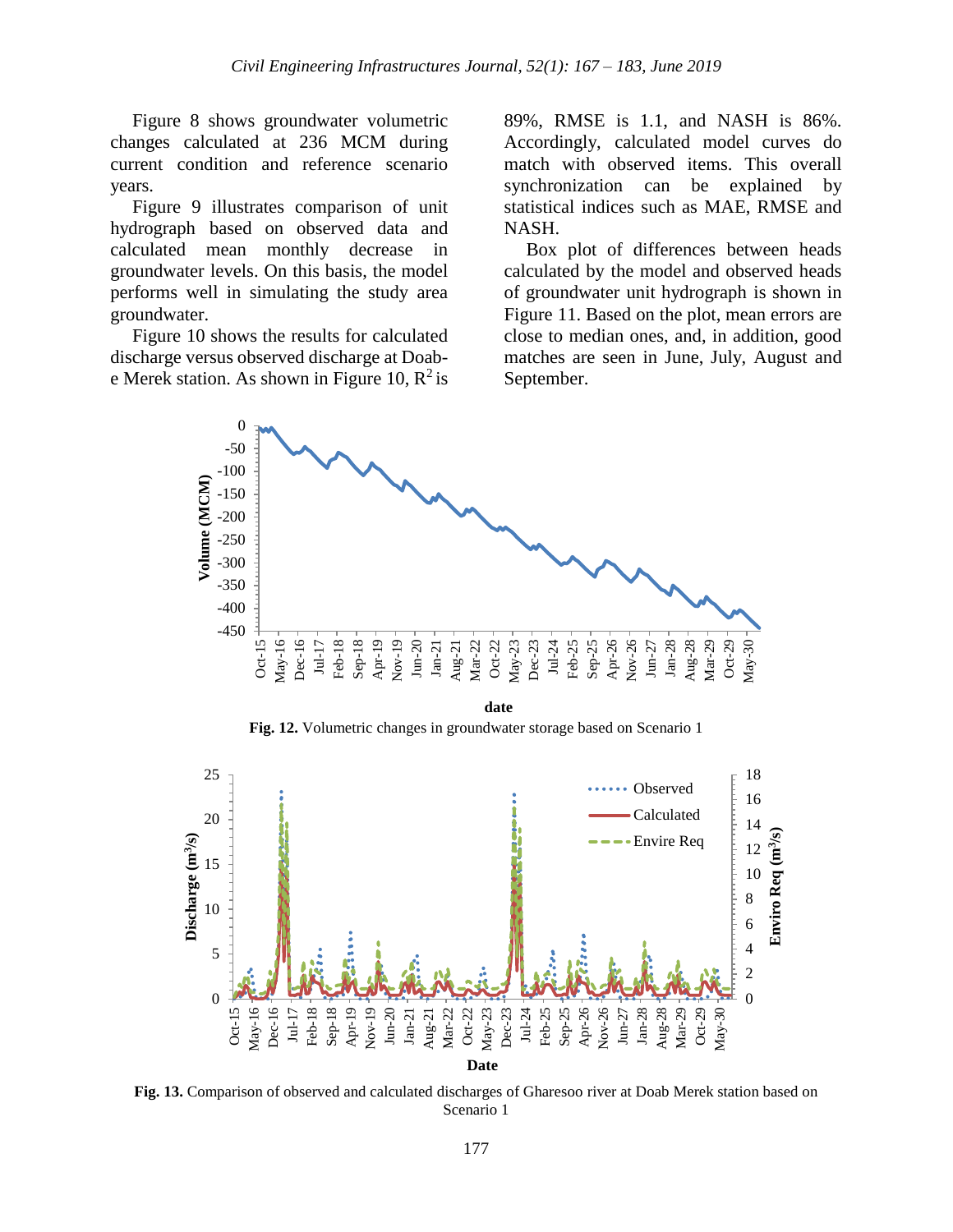Figure 8 shows groundwater volumetric changes calculated at 236 MCM during current condition and reference scenario years.

Figure 9 illustrates comparison of unit hydrograph based on observed data and calculated mean monthly decrease in groundwater levels. On this basis, the model performs well in simulating the study area groundwater.

Figure 10 shows the results for calculated discharge versus observed discharge at Doabe Merek station. As shown in Figure 10,  $R^2$  is 89%, RMSE is 1.1, and NASH is 86%. Accordingly, calculated model curves do match with observed items. This overall synchronization can be explained by statistical indices such as MAE, RMSE and NASH.

Box plot of differences between heads calculated by the model and observed heads of groundwater unit hydrograph is shown in Figure 11. Based on the plot, mean errors are close to median ones, and, in addition, good matches are seen in June, July, August and September.



**Fig. 12.** Volumetric changes in groundwater storage based on Scenario 1



**Fig. 13.** Comparison of observed and calculated discharges of Gharesoo river at Doab Merek station based on Scenario 1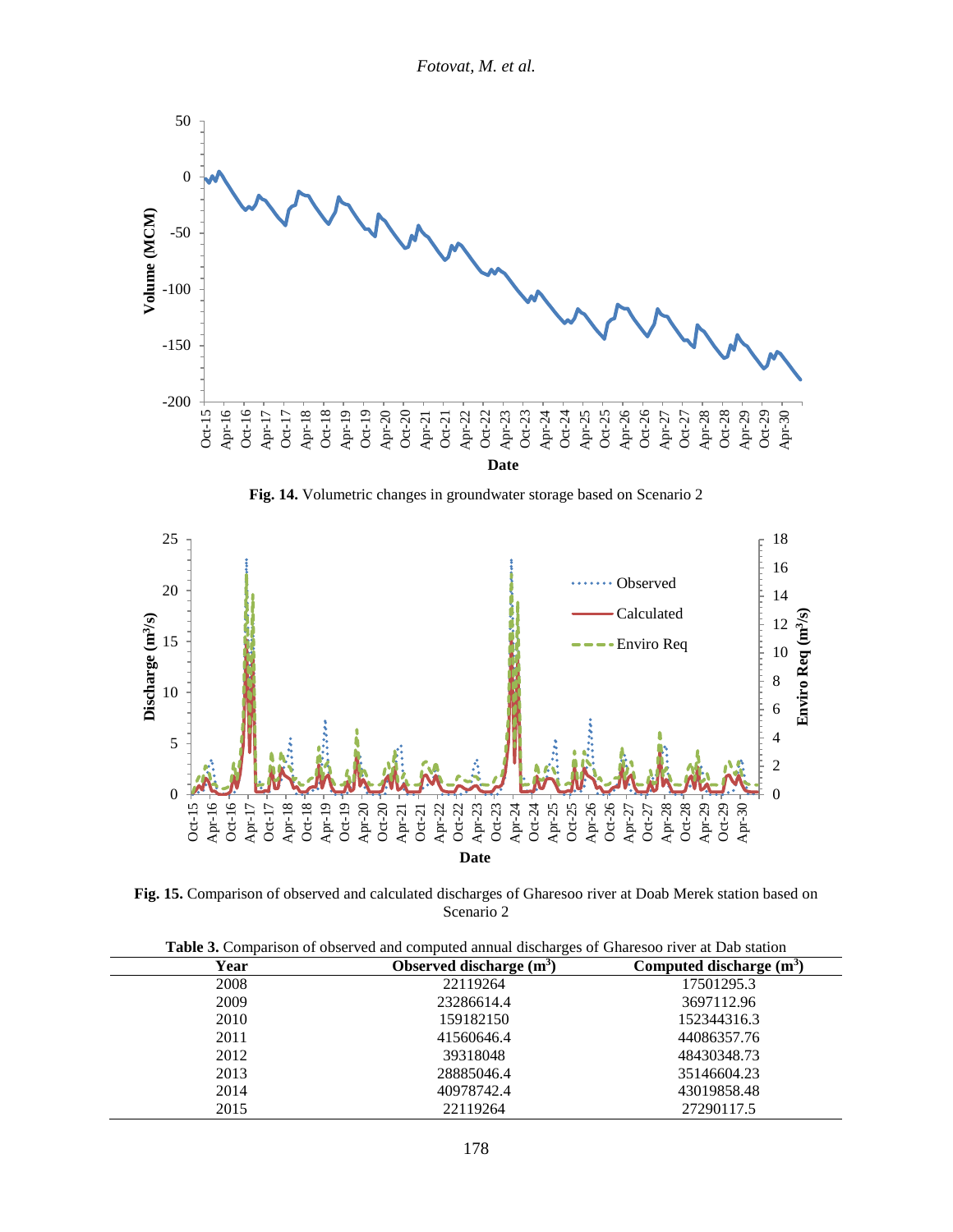*Fotovat, M. et al.*



**Fig. 14.** Volumetric changes in groundwater storage based on Scenario 2



**Fig. 15.** Comparison of observed and calculated discharges of Gharesoo river at Doab Merek station based on Scenario 2

| Thore or Comparison or observed and compared annual discharges or Charlesso fried at Duo station |                            |  |  |  |  |  |
|--------------------------------------------------------------------------------------------------|----------------------------|--|--|--|--|--|
| Observed discharge $(m^3)$                                                                       | Computed discharge $(m^3)$ |  |  |  |  |  |
| 22119264                                                                                         | 17501295.3                 |  |  |  |  |  |
| 23286614.4                                                                                       | 3697112.96                 |  |  |  |  |  |
| 159182150                                                                                        | 152344316.3                |  |  |  |  |  |
| 41560646.4                                                                                       | 44086357.76                |  |  |  |  |  |
| 39318048                                                                                         | 48430348.73                |  |  |  |  |  |
| 28885046.4                                                                                       | 35146604.23                |  |  |  |  |  |
| 40978742.4                                                                                       | 43019858.48                |  |  |  |  |  |
| 22119264                                                                                         | 27290117.5                 |  |  |  |  |  |
|                                                                                                  |                            |  |  |  |  |  |

**Table 3.** Comparison of observed and computed annual discharges of Gharesoo river at Dab station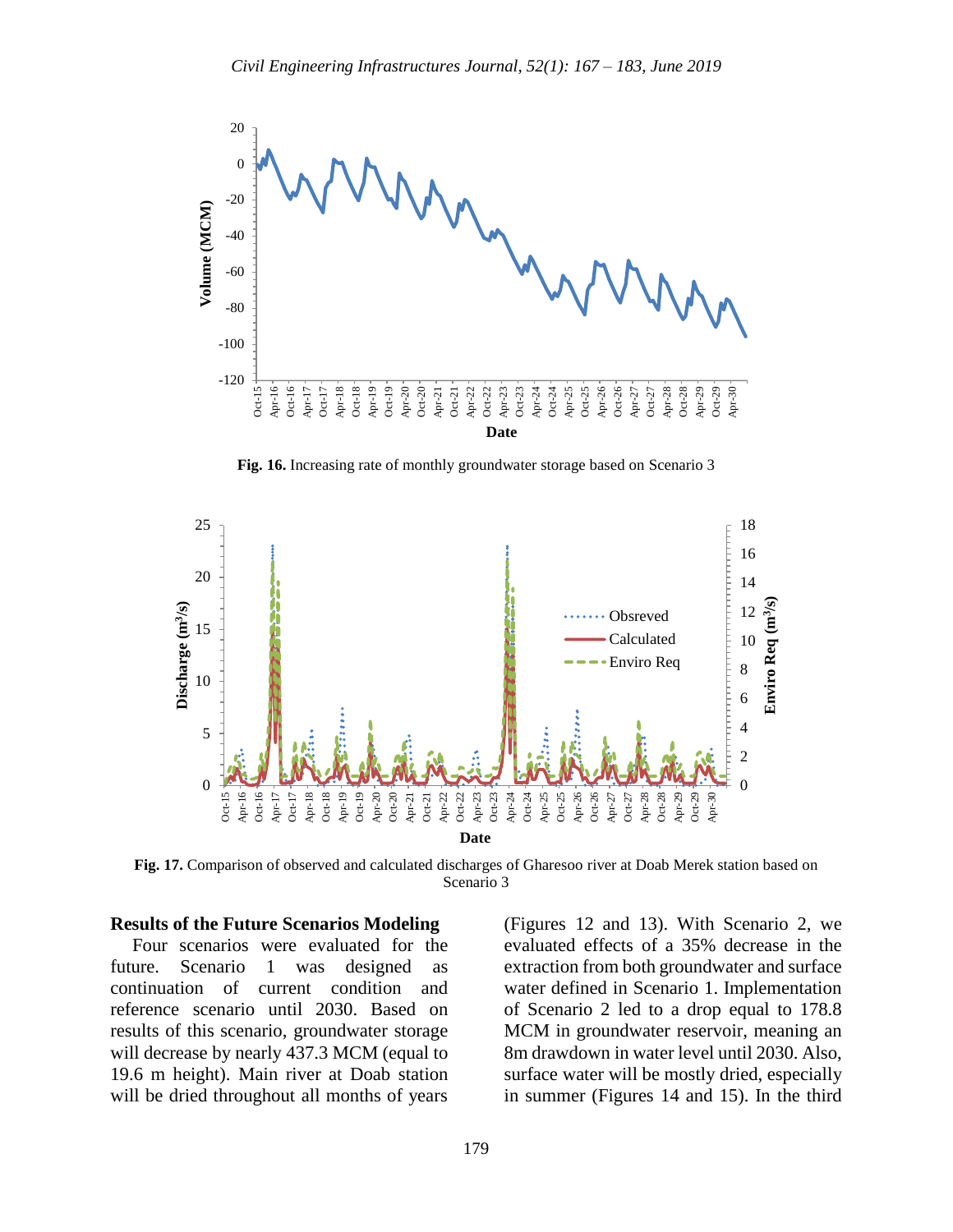

**Fig. 16.** Increasing rate of monthly groundwater storage based on Scenario 3



**Fig. 17.** Comparison of observed and calculated discharges of Gharesoo river at Doab Merek station based on Scenario 3

#### **Results of the Future Scenarios Modeling**

Four scenarios were evaluated for the future. Scenario 1 was designed as continuation of current condition and reference scenario until 2030. Based on results of this scenario, groundwater storage will decrease by nearly 437.3 MCM (equal to 19.6 m height). Main river at Doab station will be dried throughout all months of years

(Figures 12 and 13). With Scenario 2, we evaluated effects of a 35% decrease in the extraction from both groundwater and surface water defined in Scenario 1. Implementation of Scenario 2 led to a drop equal to 178.8 MCM in groundwater reservoir, meaning an 8m drawdown in water level until 2030. Also, surface water will be mostly dried, especially in summer (Figures 14 and 15). In the third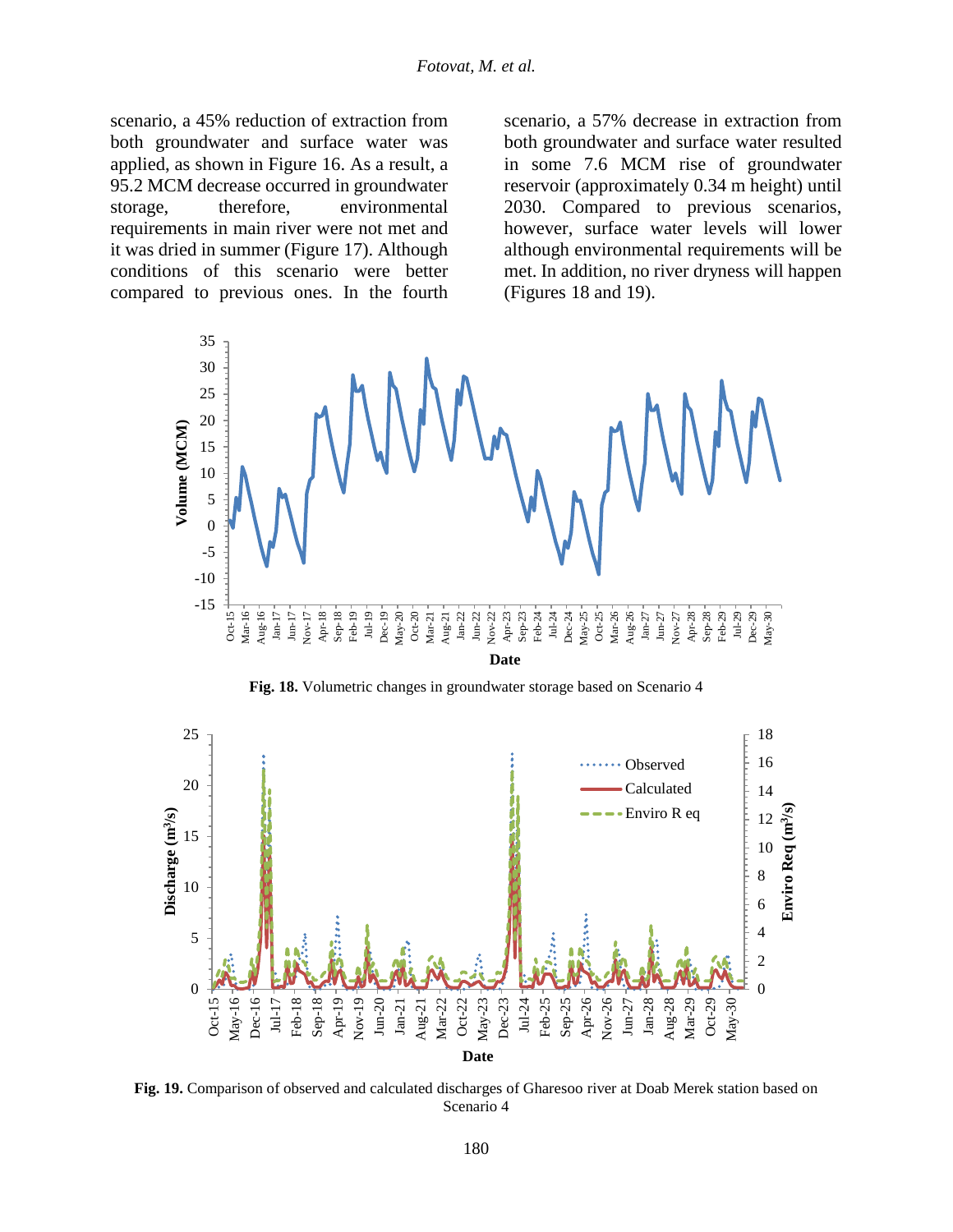scenario, a 45% reduction of extraction from both groundwater and surface water was applied, as shown in Figure 16. As a result, a 95.2 MCM decrease occurred in groundwater storage, therefore, environmental requirements in main river were not met and it was dried in summer (Figure 17). Although conditions of this scenario were better compared to previous ones. In the fourth scenario, a 57% decrease in extraction from both groundwater and surface water resulted in some 7.6 MCM rise of groundwater reservoir (approximately 0.34 m height) until 2030. Compared to previous scenarios, however, surface water levels will lower although environmental requirements will be met. In addition, no river dryness will happen (Figures 18 and 19).



**Fig. 18.** Volumetric changes in groundwater storage based on Scenario 4



**Fig. 19.** Comparison of observed and calculated discharges of Gharesoo river at Doab Merek station based on Scenario 4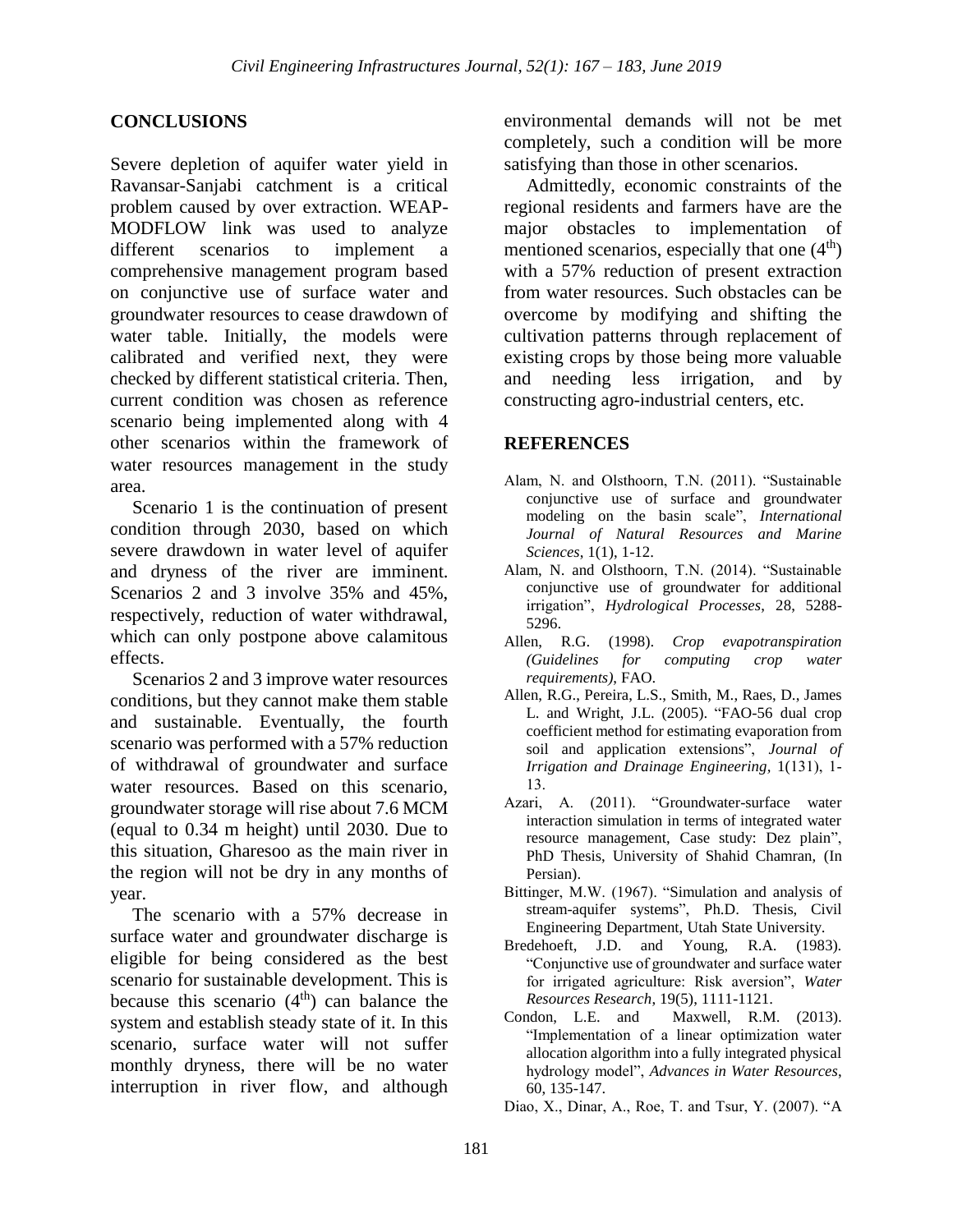### **CONCLUSIONS**

Severe depletion of aquifer water yield in Ravansar-Sanjabi catchment is a critical problem caused by over extraction. WEAP-MODFLOW link was used to analyze different scenarios to implement a comprehensive management program based on conjunctive use of surface water and groundwater resources to cease drawdown of water table. Initially, the models were calibrated and verified next, they were checked by different statistical criteria. Then, current condition was chosen as reference scenario being implemented along with 4 other scenarios within the framework of water resources management in the study area.

Scenario 1 is the continuation of present condition through 2030, based on which severe drawdown in water level of aquifer and dryness of the river are imminent. Scenarios 2 and 3 involve 35% and 45%, respectively, reduction of water withdrawal, which can only postpone above calamitous effects.

Scenarios 2 and 3 improve water resources conditions, but they cannot make them stable and sustainable. Eventually, the fourth scenario was performed with a 57% reduction of withdrawal of groundwater and surface water resources. Based on this scenario, groundwater storage will rise about 7.6 MCM (equal to 0.34 m height) until 2030. Due to this situation, Gharesoo as the main river in the region will not be dry in any months of year.

The scenario with a 57% decrease in surface water and groundwater discharge is eligible for being considered as the best scenario for sustainable development. This is because this scenario  $(4<sup>th</sup>)$  can balance the system and establish steady state of it. In this scenario, surface water will not suffer monthly dryness, there will be no water interruption in river flow, and although

environmental demands will not be met completely, such a condition will be more satisfying than those in other scenarios.

Admittedly, economic constraints of the regional residents and farmers have are the major obstacles to implementation of mentioned scenarios, especially that one  $(4<sup>th</sup>)$ with a 57% reduction of present extraction from water resources. Such obstacles can be overcome by modifying and shifting the cultivation patterns through replacement of existing crops by those being more valuable and needing less irrigation, and by constructing agro-industrial centers, etc.

#### **REFERENCES**

- Alam, N. and Olsthoorn, T.N. (2011). "Sustainable conjunctive use of surface and groundwater modeling on the basin scale", *International Journal of Natural Resources and Marine Sciences*, 1(1), 1-12.
- Alam, N. and Olsthoorn, T.N. (2014). "Sustainable conjunctive use of groundwater for additional irrigation", *Hydrological Processes*, 28, 5288- 5296.
- Allen, R.G. (1998). *Crop evapotranspiration (Guidelines for computing crop water requirements)*, FAO.
- Allen, R.G., Pereira, L.S., Smith, M., Raes, D., James L. and Wright, J.L. (2005). "FAO-56 dual crop coefficient method for estimating evaporation from soil and application extensions", *Journal of Irrigation and Drainage Engineering,* 1(131), 1- 13.
- Azari, A. (2011). "Groundwater-surface water interaction simulation in terms of integrated water resource management, Case study: Dez plain", PhD Thesis, University of Shahid Chamran, (In Persian).
- Bittinger, M.W. (1967). "Simulation and analysis of stream-aquifer systems", Ph.D. Thesis, Civil Engineering Department, Utah State University.
- Bredehoeft, J.D. and Young, R.A. (1983). "Conjunctive use of groundwater and surface water for irrigated agriculture: Risk aversion", *Water Resources Research*, 19(5), 1111-1121.
- Condon, L.E. and Maxwell, R.M. (2013). "Implementation of a linear optimization water allocation algorithm into a fully integrated physical hydrology model", *Advances in Water Resources*, 60, 135-147.
- Diao, X., Dinar, A., Roe, T. and Tsur, Y. (2007). "A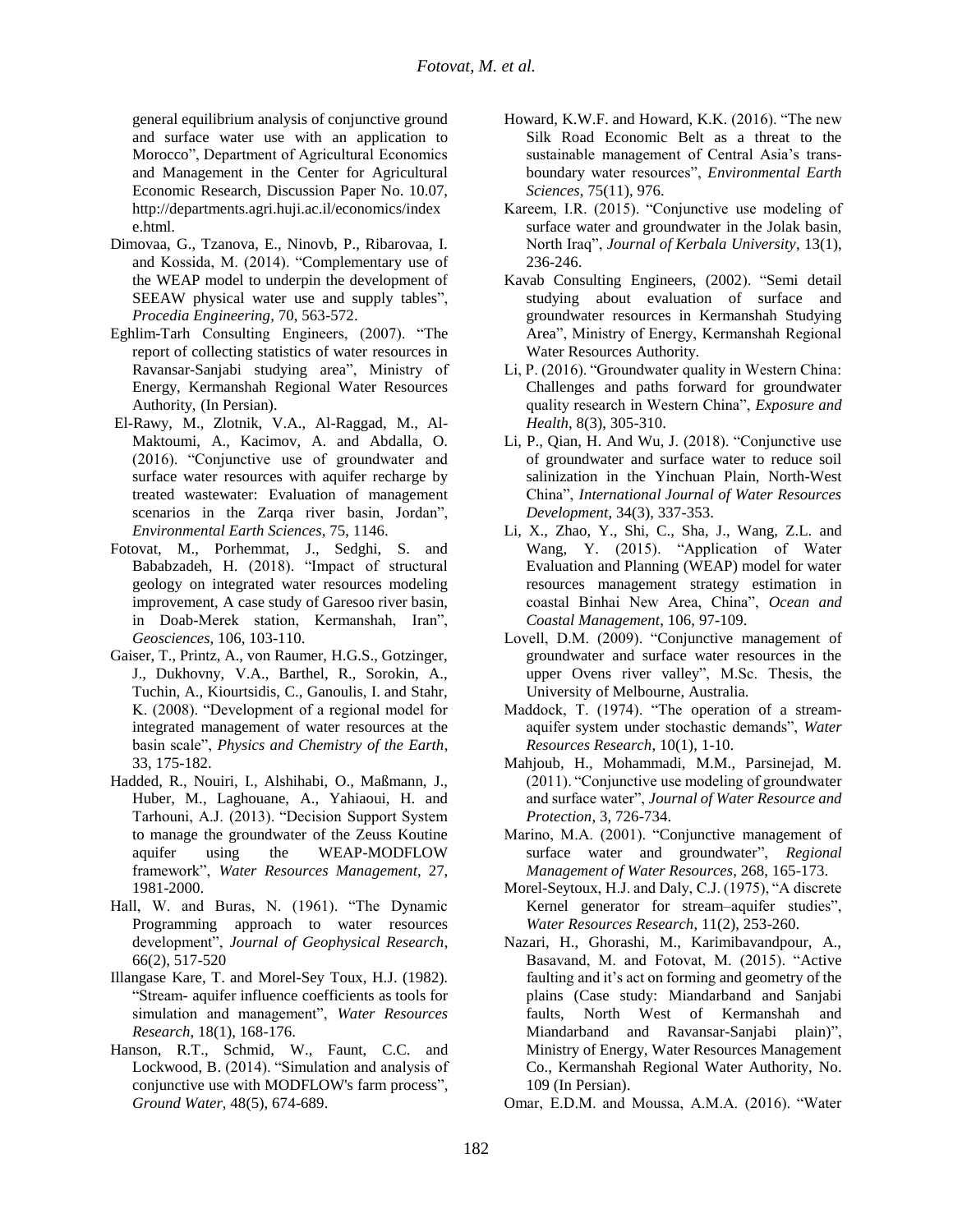general equilibrium analysis of conjunctive ground and surface water use with an application to Morocco", Department of Agricultural Economics and Management in the Center for Agricultural Economic Research, Discussion Paper No. 10.07, http://departments.agri.huji.ac.il/economics/index e.html.

- Dimovaa, G., Tzanova, E., Ninovb, P., Ribarovaa, I. and Kossida, M. (2014). "Complementary use of the WEAP model to underpin the development of SEEAW physical water use and supply tables", *Procedia Engineering*, 70, 563-572.
- Eghlim-Tarh Consulting Engineers, (2007). "The report of collecting statistics of water resources in Ravansar-Sanjabi studying area", Ministry of Energy, Kermanshah Regional Water Resources Authority, (In Persian).
- El-Rawy, M., Zlotnik, V.A., Al-Raggad, M., Al-Maktoumi, A., Kacimov, A. and Abdalla, O. (2016). "Conjunctive use of groundwater and surface water resources with aquifer recharge by treated wastewater: Evaluation of management scenarios in the Zarqa river basin, Jordan", *Environmental Earth Sciences*, 75, 1146.
- Fotovat, M., Porhemmat, J., Sedghi, S. and Bababzadeh, H. (2018). "Impact of structural geology on integrated water resources modeling improvement, A case study of Garesoo river basin, in Doab-Merek station, Kermanshah, Iran", *Geosciences*, 106, 103-110.
- Gaiser, T., Printz, A., von Raumer, H.G.S., Gotzinger, J., Dukhovny, V.A., Barthel, R., Sorokin, A., Tuchin, A., Kiourtsidis, C., Ganoulis, I. and Stahr, K. (2008). "Development of a regional model for integrated management of water resources at the basin scale", *Physics and Chemistry of the Earth*, 33, 175-182.
- Hadded, R., Nouiri, I., Alshihabi, O., Maßmann, J., Huber, M., Laghouane, A., Yahiaoui, H. and Tarhouni, A.J. (2013). "Decision Support System to manage the groundwater of the Zeuss Koutine aquifer using the WEAP-MODFLOW framework", *Water Resources Management*, 27, 1981-2000.
- Hall, W. and Buras, N. (1961). "The Dynamic Programming approach to water resources development", *Journal of Geophysical Research*, 66(2), 517-520
- Illangase Kare, T. and Morel-Sey Toux, H.J. (1982). "Stream- aquifer influence coefficients as tools for simulation and management", *Water Resources Research*, 18(1), 168-176.
- Hanson, R.T., Schmid, W., Faunt, C.C. and Lockwood, B. (2014). "Simulation and analysis of conjunctive use with MODFLOW's farm process", *Ground Water*, 48(5), 674-689.
- Howard, K.W.F. and Howard, K.K. (2016). "The new Silk Road Economic Belt as a threat to the sustainable management of Central Asia's transboundary water resources", *Environmental Earth Sciences*, 75(11), 976.
- Kareem, I.R. (2015). "Conjunctive use modeling of surface water and groundwater in the Jolak basin, North Iraq", *Journal of Kerbala University*, 13(1), 236-246.
- Kavab Consulting Engineers, (2002). "Semi detail studying about evaluation of surface and groundwater resources in Kermanshah Studying Area", Ministry of Energy, Kermanshah Regional Water Resources Authority.
- Li, P. (2016). "Groundwater quality in Western China: Challenges and paths forward for groundwater quality research in Western China", *Exposure and Health*, 8(3), 305-310.
- Li, P., Qian, H. And Wu, J. (2018). "Conjunctive use of groundwater and surface water to reduce soil salinization in the Yinchuan Plain, North-West China", *International Journal of Water Resources Development*, 34(3), 337-353.
- Li, X., Zhao, Y., Shi, C., Sha, J., Wang, Z.L. and Wang, Y. (2015). "Application of Water Evaluation and Planning (WEAP) model for water resources management strategy estimation in coastal Binhai New Area, China", *Ocean and Coastal Management*, 106, 97-109.
- Lovell, D.M. (2009). "Conjunctive management of groundwater and surface water resources in the upper Ovens river valley", M.Sc. Thesis, the University of Melbourne, Australia.
- Maddock, T. (1974). "The operation of a streamaquifer system under stochastic demands", *Water Resources Research*, 10(1), 1-10.
- Mahjoub, H., Mohammadi, M.M., Parsinejad, M. (2011). "Conjunctive use modeling of groundwater and surface water", *Journal of Water Resource and Protection*, 3, 726-734.
- Marino, M.A. (2001). "Conjunctive management of surface water and groundwater", *Regional Management of Water Resources*, 268, 165-173.
- Morel-Seytoux, H.J. and Daly, C.J. (1975), "A discrete Kernel generator for stream–aquifer studies", *Water Resources Research*, 11(2), 253-260.
- Nazari, H., Ghorashi, M., Karimibavandpour, A., Basavand, M. and Fotovat, M. (2015). "Active faulting and it's act on forming and geometry of the plains (Case study: Miandarband and Sanjabi faults, North West of Kermanshah and Miandarband and Ravansar-Sanjabi plain)", Ministry of Energy, Water Resources Management Co., Kermanshah Regional Water Authority, No. 109 (In Persian).
- Omar, E.D.M. and Moussa, A.M.A. (2016). "Water